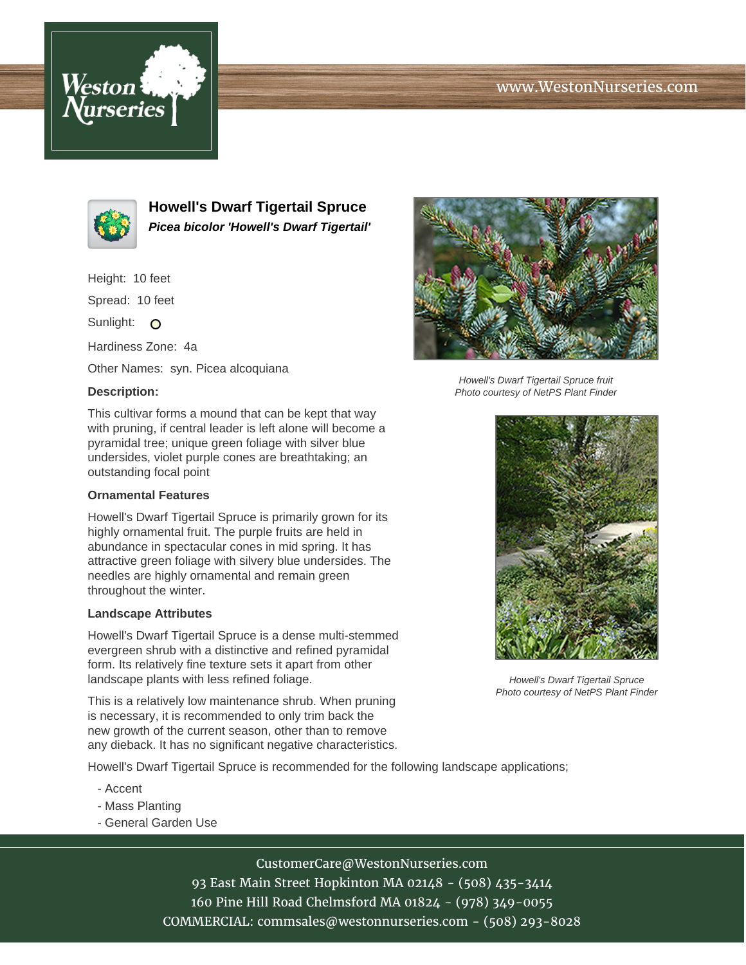# www.WestonNurseries.com





**Howell's Dwarf Tigertail Spruce Picea bicolor 'Howell's Dwarf Tigertail'**

Height: 10 feet

Spread: 10 feet

Sunlight: O

Hardiness Zone: 4a

Other Names: syn. Picea alcoquiana

### **Description:**

This cultivar forms a mound that can be kept that way with pruning, if central leader is left alone will become a pyramidal tree; unique green foliage with silver blue undersides, violet purple cones are breathtaking; an outstanding focal point

### **Ornamental Features**

Howell's Dwarf Tigertail Spruce is primarily grown for its highly ornamental fruit. The purple fruits are held in abundance in spectacular cones in mid spring. It has attractive green foliage with silvery blue undersides. The needles are highly ornamental and remain green throughout the winter.

#### **Landscape Attributes**

Howell's Dwarf Tigertail Spruce is a dense multi-stemmed evergreen shrub with a distinctive and refined pyramidal form. Its relatively fine texture sets it apart from other landscape plants with less refined foliage.

This is a relatively low maintenance shrub. When pruning is necessary, it is recommended to only trim back the new growth of the current season, other than to remove any dieback. It has no significant negative characteristics.

Howell's Dwarf Tigertail Spruce is recommended for the following landscape applications;

- Accent
- Mass Planting
- General Garden Use



Howell's Dwarf Tigertail Spruce fruit Photo courtesy of NetPS Plant Finder



Howell's Dwarf Tigertail Spruce Photo courtesy of NetPS Plant Finder

CustomerCare@WestonNurseries.com 93 East Main Street Hopkinton MA 02148 - (508) 435-3414 160 Pine Hill Road Chelmsford MA 01824 - (978) 349-0055

COMMERCIAL: commsales@westonnurseries.com - (508) 293-8028